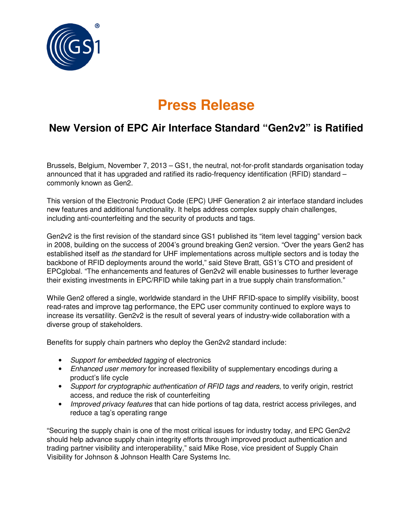

## **Press Release**

## **New Version of EPC Air Interface Standard "Gen2v2" is Ratified**

Brussels, Belgium, November 7, 2013 – GS1, the neutral, not-for-profit standards organisation today announced that it has upgraded and ratified its radio-frequency identification (RFID) standard – commonly known as Gen2.

This version of the Electronic Product Code (EPC) UHF Generation 2 air interface standard includes new features and additional functionality. It helps address complex supply chain challenges, including anti-counterfeiting and the security of products and tags.

Gen2v2 is the first revision of the standard since GS1 published its "item level tagging" version back in 2008, building on the success of 2004's ground breaking Gen2 version. "Over the years Gen2 has established itself as the standard for UHF implementations across multiple sectors and is today the backbone of RFID deployments around the world," said Steve Bratt, GS1's CTO and president of EPCglobal. "The enhancements and features of Gen2v2 will enable businesses to further leverage their existing investments in EPC/RFID while taking part in a true supply chain transformation."

While Gen2 offered a single, worldwide standard in the UHF RFID-space to simplify visibility, boost read-rates and improve tag performance, the EPC user community continued to explore ways to increase its versatility. Gen2v2 is the result of several years of industry-wide collaboration with a diverse group of stakeholders.

Benefits for supply chain partners who deploy the Gen2v2 standard include:

- Support for embedded tagging of electronics
- Enhanced user memory for increased flexibility of supplementary encodings during a product's life cycle
- Support for cryptographic authentication of RFID tags and readers, to verify origin, restrict access, and reduce the risk of counterfeiting
- Improved privacy features that can hide portions of tag data, restrict access privileges, and reduce a tag's operating range

"Securing the supply chain is one of the most critical issues for industry today, and EPC Gen2v2 should help advance supply chain integrity efforts through improved product authentication and trading partner visibility and interoperability," said Mike Rose, vice president of Supply Chain Visibility for Johnson & Johnson Health Care Systems Inc.